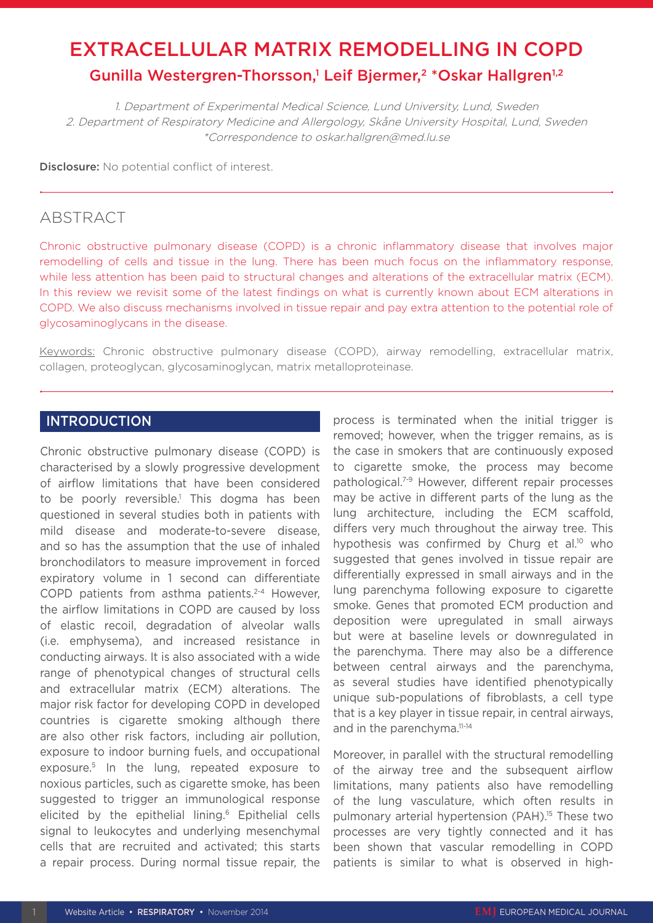# EXTRACELLULAR MATRIX REMODELLING IN COPD Gunilla Westergren-Thorsson,<sup>1</sup> Leif Bjermer,<sup>2</sup> \*Oskar Hallgren<sup>1,2</sup>

1. Department of Experimental Medical Science, Lund University, Lund, Sweden 2. Department of Respiratory Medicine and Allergology, Skåne University Hospital, Lund, Sweden \*Correspondence to oskar.hallgren@med.lu.se

Disclosure: No potential conflict of interest.

# ABSTRACT

Chronic obstructive pulmonary disease (COPD) is a chronic inflammatory disease that involves major remodelling of cells and tissue in the lung. There has been much focus on the inflammatory response, while less attention has been paid to structural changes and alterations of the extracellular matrix (ECM). In this review we revisit some of the latest findings on what is currently known about ECM alterations in COPD. We also discuss mechanisms involved in tissue repair and pay extra attention to the potential role of glycosaminoglycans in the disease.

Keywords: Chronic obstructive pulmonary disease (COPD), airway remodelling, extracellular matrix, collagen, proteoglycan, glycosaminoglycan, matrix metalloproteinase.

## INTRODUCTION

Chronic obstructive pulmonary disease (COPD) is characterised by a slowly progressive development of airflow limitations that have been considered to be poorly reversible.<sup>1</sup> This dogma has been questioned in several studies both in patients with mild disease and moderate-to-severe disease, and so has the assumption that the use of inhaled bronchodilators to measure improvement in forced expiratory volume in 1 second can differentiate COPD patients from asthma patients.<sup>2-4</sup> However, the airflow limitations in COPD are caused by loss of elastic recoil, degradation of alveolar walls (i.e. emphysema), and increased resistance in conducting airways. It is also associated with a wide range of phenotypical changes of structural cells and extracellular matrix (ECM) alterations. The major risk factor for developing COPD in developed countries is cigarette smoking although there are also other risk factors, including air pollution, exposure to indoor burning fuels, and occupational exposure.5 In the lung, repeated exposure to noxious particles, such as cigarette smoke, has been suggested to trigger an immunological response elicited by the epithelial lining.<sup>6</sup> Epithelial cells signal to leukocytes and underlying mesenchymal cells that are recruited and activated; this starts a repair process. During normal tissue repair, the

process is terminated when the initial trigger is removed; however, when the trigger remains, as is the case in smokers that are continuously exposed to cigarette smoke, the process may become pathological.7-9 However, different repair processes may be active in different parts of the lung as the lung architecture, including the ECM scaffold, differs very much throughout the airway tree. This hypothesis was confirmed by Churg et al.<sup>10</sup> who suggested that genes involved in tissue repair are differentially expressed in small airways and in the lung parenchyma following exposure to cigarette smoke. Genes that promoted ECM production and deposition were upregulated in small airways but were at baseline levels or downregulated in the parenchyma. There may also be a difference between central airways and the parenchyma, as several studies have identified phenotypically unique sub-populations of fibroblasts, a cell type that is a key player in tissue repair, in central airways, and in the parenchyma.<sup>11-14</sup>

Moreover, in parallel with the structural remodelling of the airway tree and the subsequent airflow limitations, many patients also have remodelling of the lung vasculature, which often results in pulmonary arterial hypertension (PAH).<sup>15</sup> These two processes are very tightly connected and it has been shown that vascular remodelling in COPD patients is similar to what is observed in high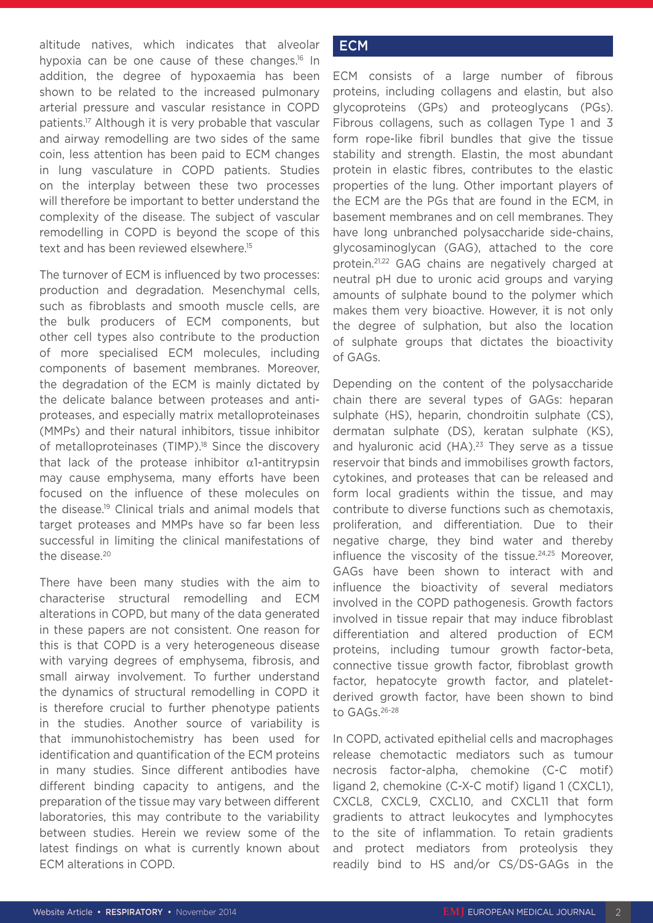altitude natives, which indicates that alveolar hypoxia can be one cause of these changes.<sup>16</sup> In addition, the degree of hypoxaemia has been shown to be related to the increased pulmonary arterial pressure and vascular resistance in COPD patients.17 Although it is very probable that vascular and airway remodelling are two sides of the same coin, less attention has been paid to ECM changes in lung vasculature in COPD patients. Studies on the interplay between these two processes will therefore be important to better understand the complexity of the disease. The subject of vascular remodelling in COPD is beyond the scope of this text and has been reviewed elsewhere.<sup>15</sup>

The turnover of ECM is influenced by two processes: production and degradation. Mesenchymal cells, such as fibroblasts and smooth muscle cells, are the bulk producers of ECM components, but other cell types also contribute to the production of more specialised ECM molecules, including components of basement membranes. Moreover, the degradation of the ECM is mainly dictated by the delicate balance between proteases and antiproteases, and especially matrix metalloproteinases (MMPs) and their natural inhibitors, tissue inhibitor of metalloproteinases (TIMP).<sup>18</sup> Since the discovery that lack of the protease inhibitor  $\alpha$ 1-antitrypsin may cause emphysema, many efforts have been focused on the influence of these molecules on the disease.19 Clinical trials and animal models that target proteases and MMPs have so far been less successful in limiting the clinical manifestations of the disease.<sup>20</sup>

There have been many studies with the aim to characterise structural remodelling and ECM alterations in COPD, but many of the data generated in these papers are not consistent. One reason for this is that COPD is a very heterogeneous disease with varying degrees of emphysema, fibrosis, and small airway involvement. To further understand the dynamics of structural remodelling in COPD it is therefore crucial to further phenotype patients in the studies. Another source of variability is that immunohistochemistry has been used for identification and quantification of the ECM proteins in many studies. Since different antibodies have different binding capacity to antigens, and the preparation of the tissue may vary between different laboratories, this may contribute to the variability between studies. Herein we review some of the latest findings on what is currently known about ECM alterations in COPD.

## **ECM**

ECM consists of a large number of fibrous proteins, including collagens and elastin, but also glycoproteins (GPs) and proteoglycans (PGs). Fibrous collagens, such as collagen Type 1 and 3 form rope-like fibril bundles that give the tissue stability and strength. Elastin, the most abundant protein in elastic fibres, contributes to the elastic properties of the lung. Other important players of the ECM are the PGs that are found in the ECM, in basement membranes and on cell membranes. They have long unbranched polysaccharide side-chains, glycosaminoglycan (GAG), attached to the core protein.21,22 GAG chains are negatively charged at neutral pH due to uronic acid groups and varying amounts of sulphate bound to the polymer which makes them very bioactive. However, it is not only the degree of sulphation, but also the location of sulphate groups that dictates the bioactivity of GAGs.

Depending on the content of the polysaccharide chain there are several types of GAGs: heparan sulphate (HS), heparin, chondroitin sulphate (CS), dermatan sulphate (DS), keratan sulphate (KS), and hyaluronic acid  $(HA)$ .<sup>23</sup> They serve as a tissue reservoir that binds and immobilises growth factors, cytokines, and proteases that can be released and form local gradients within the tissue, and may contribute to diverse functions such as chemotaxis, proliferation, and differentiation. Due to their negative charge, they bind water and thereby influence the viscosity of the tissue.<sup>24,25</sup> Moreover, GAGs have been shown to interact with and influence the bioactivity of several mediators involved in the COPD pathogenesis. Growth factors involved in tissue repair that may induce fibroblast differentiation and altered production of ECM proteins, including tumour growth factor-beta, connective tissue growth factor, fibroblast growth factor, hepatocyte growth factor, and plateletderived growth factor, have been shown to bind to GAGs.26-28

In COPD, activated epithelial cells and macrophages release chemotactic mediators such as tumour necrosis factor-alpha, chemokine (C-C motif) ligand 2, chemokine (C-X-C motif) ligand 1 (CXCL1), CXCL8, CXCL9, CXCL10, and CXCL11 that form gradients to attract leukocytes and lymphocytes to the site of inflammation. To retain gradients and protect mediators from proteolysis they readily bind to HS and/or CS/DS-GAGs in the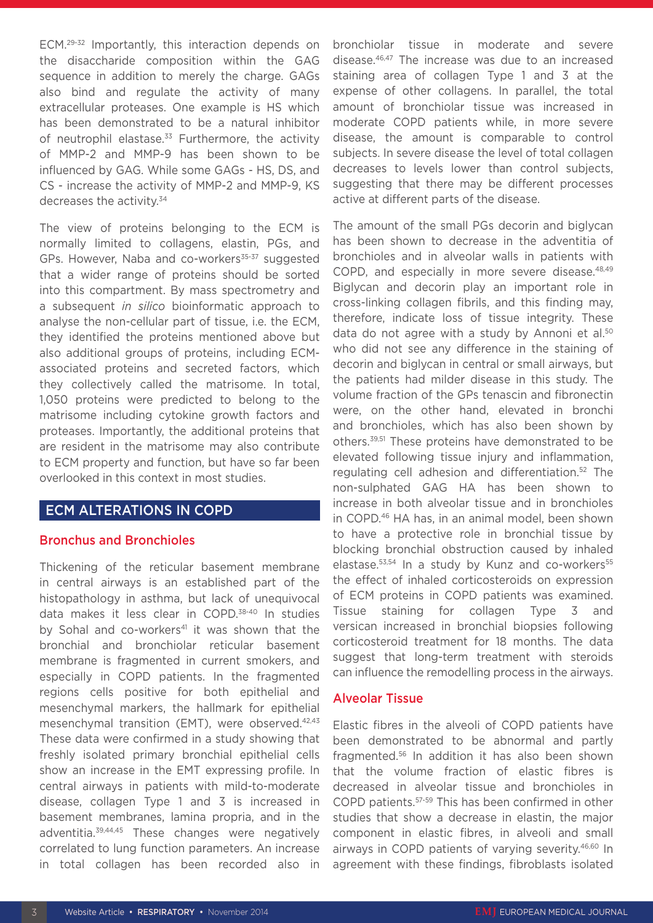ECM.29-32 Importantly, this interaction depends on the disaccharide composition within the GAG sequence in addition to merely the charge. GAGs also bind and regulate the activity of many extracellular proteases. One example is HS which has been demonstrated to be a natural inhibitor of neutrophil elastase.<sup>33</sup> Furthermore, the activity of MMP-2 and MMP-9 has been shown to be influenced by GAG. While some GAGs - HS, DS, and CS - increase the activity of MMP-2 and MMP-9, KS decreases the activity.<sup>34</sup>

The view of proteins belonging to the ECM is normally limited to collagens, elastin, PGs, and GPs. However, Naba and co-workers<sup>35-37</sup> suggested that a wider range of proteins should be sorted into this compartment. By mass spectrometry and a subsequent *in silico* bioinformatic approach to analyse the non-cellular part of tissue, i.e. the ECM, they identified the proteins mentioned above but also additional groups of proteins, including ECMassociated proteins and secreted factors, which they collectively called the matrisome. In total, 1,050 proteins were predicted to belong to the matrisome including cytokine growth factors and proteases. Importantly, the additional proteins that are resident in the matrisome may also contribute to ECM property and function, but have so far been overlooked in this context in most studies.

# ECM ALTERATIONS IN COPD

#### Bronchus and Bronchioles

Thickening of the reticular basement membrane in central airways is an established part of the histopathology in asthma, but lack of unequivocal data makes it less clear in COPD.38-40 In studies by Sohal and co-workers<sup>41</sup> it was shown that the bronchial and bronchiolar reticular basement membrane is fragmented in current smokers, and especially in COPD patients. In the fragmented regions cells positive for both epithelial and mesenchymal markers, the hallmark for epithelial mesenchymal transition (EMT), were observed.<sup>42,43</sup> These data were confirmed in a study showing that freshly isolated primary bronchial epithelial cells show an increase in the EMT expressing profile. In central airways in patients with mild-to-moderate disease, collagen Type 1 and 3 is increased in basement membranes, lamina propria, and in the adventitia.39,44,45 These changes were negatively correlated to lung function parameters. An increase in total collagen has been recorded also in bronchiolar tissue in moderate and severe disease.46,47 The increase was due to an increased staining area of collagen Type 1 and 3 at the expense of other collagens. In parallel, the total amount of bronchiolar tissue was increased in moderate COPD patients while, in more severe disease, the amount is comparable to control subjects. In severe disease the level of total collagen decreases to levels lower than control subjects, suggesting that there may be different processes active at different parts of the disease.

The amount of the small PGs decorin and biglycan has been shown to decrease in the adventitia of bronchioles and in alveolar walls in patients with COPD, and especially in more severe disease.48,49 Biglycan and decorin play an important role in cross-linking collagen fibrils, and this finding may, therefore, indicate loss of tissue integrity. These data do not agree with a study by Annoni et al.<sup>50</sup> who did not see any difference in the staining of decorin and biglycan in central or small airways, but the patients had milder disease in this study. The volume fraction of the GPs tenascin and fibronectin were, on the other hand, elevated in bronchi and bronchioles, which has also been shown by others.39,51 These proteins have demonstrated to be elevated following tissue injury and inflammation, regulating cell adhesion and differentiation.52 The non-sulphated GAG HA has been shown to increase in both alveolar tissue and in bronchioles in COPD.46 HA has, in an animal model, been shown to have a protective role in bronchial tissue by blocking bronchial obstruction caused by inhaled elastase. $53,54$  In a study by Kunz and co-workers<sup>55</sup> the effect of inhaled corticosteroids on expression of ECM proteins in COPD patients was examined. Tissue staining for collagen Type 3 and versican increased in bronchial biopsies following corticosteroid treatment for 18 months. The data suggest that long-term treatment with steroids can influence the remodelling process in the airways.

## Alveolar Tissue

Elastic fibres in the alveoli of COPD patients have been demonstrated to be abnormal and partly fragmented.56 In addition it has also been shown that the volume fraction of elastic fibres is decreased in alveolar tissue and bronchioles in COPD patients.57-59 This has been confirmed in other studies that show a decrease in elastin, the major component in elastic fibres, in alveoli and small airways in COPD patients of varying severity.46,60 In agreement with these findings, fibroblasts isolated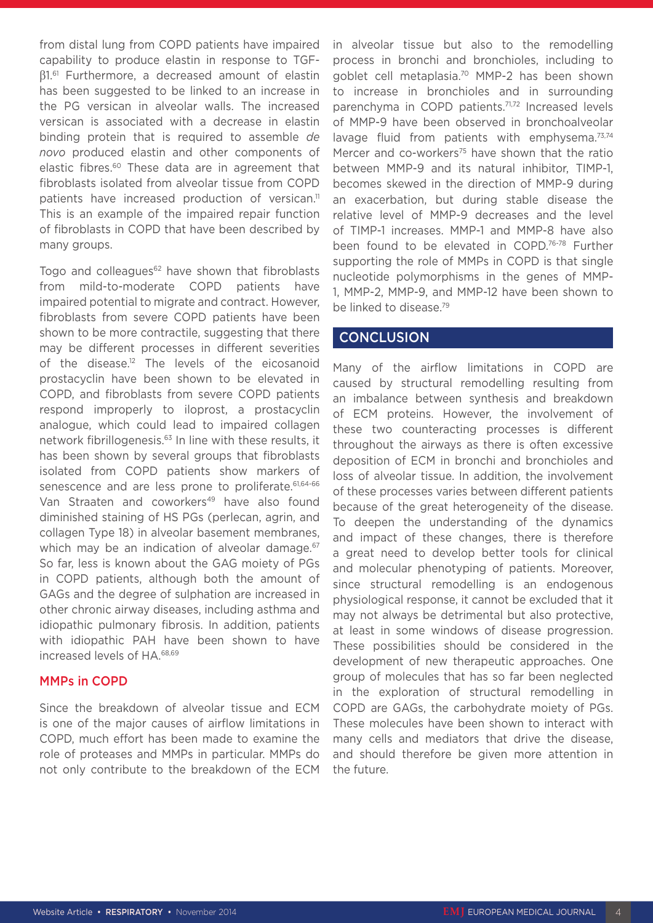from distal lung from COPD patients have impaired capability to produce elastin in response to TGFβ1.61 Furthermore, a decreased amount of elastin has been suggested to be linked to an increase in the PG versican in alveolar walls. The increased versican is associated with a decrease in elastin binding protein that is required to assemble *de novo* produced elastin and other components of elastic fibres.60 These data are in agreement that fibroblasts isolated from alveolar tissue from COPD patients have increased production of versican.<sup>11</sup> This is an example of the impaired repair function of fibroblasts in COPD that have been described by many groups.

Togo and colleagues<sup>62</sup> have shown that fibroblasts from mild-to-moderate COPD patients have impaired potential to migrate and contract. However, fibroblasts from severe COPD patients have been shown to be more contractile, suggesting that there may be different processes in different severities of the disease.<sup>12</sup> The levels of the eicosanoid prostacyclin have been shown to be elevated in COPD, and fibroblasts from severe COPD patients respond improperly to iloprost, a prostacyclin analogue, which could lead to impaired collagen network fibrillogenesis.63 In line with these results, it has been shown by several groups that fibroblasts isolated from COPD patients show markers of senescence and are less prone to proliferate.<sup>61,64-66</sup> Van Straaten and coworkers<sup>49</sup> have also found diminished staining of HS PGs (perlecan, agrin, and collagen Type 18) in alveolar basement membranes, which may be an indication of alveolar damage.<sup>67</sup> So far, less is known about the GAG moiety of PGs in COPD patients, although both the amount of GAGs and the degree of sulphation are increased in other chronic airway diseases, including asthma and idiopathic pulmonary fibrosis. In addition, patients with idiopathic PAH have been shown to have increased levels of HA.68,69

#### MMPs in COPD

Since the breakdown of alveolar tissue and ECM is one of the major causes of airflow limitations in COPD, much effort has been made to examine the role of proteases and MMPs in particular. MMPs do not only contribute to the breakdown of the ECM in alveolar tissue but also to the remodelling process in bronchi and bronchioles, including to goblet cell metaplasia.70 MMP-2 has been shown to increase in bronchioles and in surrounding parenchyma in COPD patients.<sup>71,72</sup> Increased levels of MMP-9 have been observed in bronchoalveolar lavage fluid from patients with emphysema.<sup>73,74</sup> Mercer and co-workers<sup>75</sup> have shown that the ratio between MMP-9 and its natural inhibitor, TIMP-1, becomes skewed in the direction of MMP-9 during an exacerbation, but during stable disease the relative level of MMP-9 decreases and the level of TIMP-1 increases. MMP-1 and MMP-8 have also been found to be elevated in COPD.<sup>76-78</sup> Further supporting the role of MMPs in COPD is that single nucleotide polymorphisms in the genes of MMP-1, MMP-2, MMP-9, and MMP-12 have been shown to be linked to disease.79

## **CONCLUSION**

Many of the airflow limitations in COPD are caused by structural remodelling resulting from an imbalance between synthesis and breakdown of ECM proteins. However, the involvement of these two counteracting processes is different throughout the airways as there is often excessive deposition of ECM in bronchi and bronchioles and loss of alveolar tissue. In addition, the involvement of these processes varies between different patients because of the great heterogeneity of the disease. To deepen the understanding of the dynamics and impact of these changes, there is therefore a great need to develop better tools for clinical and molecular phenotyping of patients. Moreover, since structural remodelling is an endogenous physiological response, it cannot be excluded that it may not always be detrimental but also protective, at least in some windows of disease progression. These possibilities should be considered in the development of new therapeutic approaches. One group of molecules that has so far been neglected in the exploration of structural remodelling in COPD are GAGs, the carbohydrate moiety of PGs. These molecules have been shown to interact with many cells and mediators that drive the disease, and should therefore be given more attention in the future.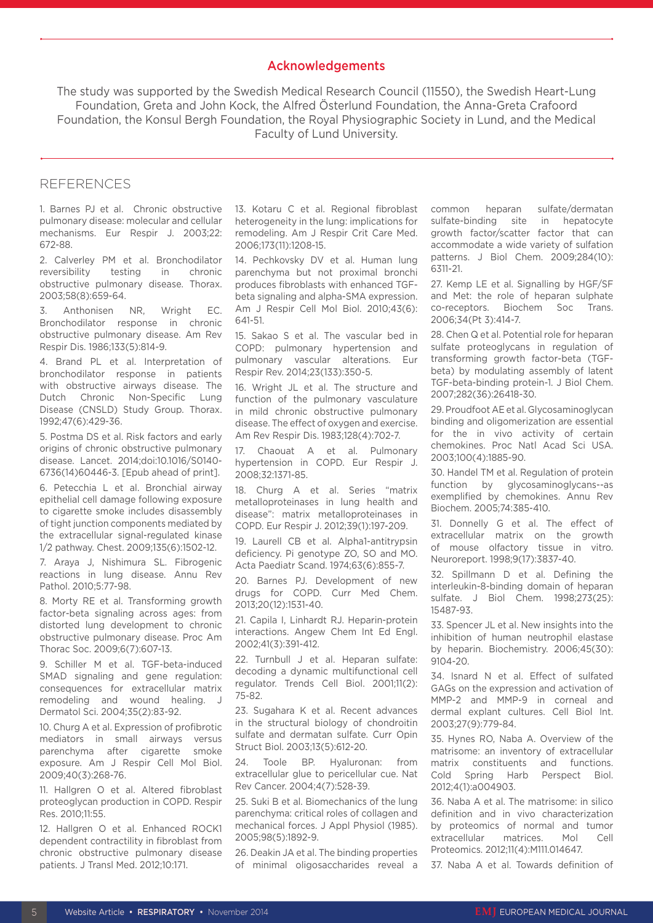## Acknowledgements

The study was supported by the Swedish Medical Research Council (11550), the Swedish Heart-Lung Foundation, Greta and John Kock, the Alfred Österlund Foundation, the Anna-Greta Crafoord Foundation, the Konsul Bergh Foundation, the Royal Physiographic Society in Lund, and the Medical Faculty of Lund University.

#### REFERENCES

1. Barnes PJ et al. Chronic obstructive pulmonary disease: molecular and cellular mechanisms. Eur Respir J. 2003;22: 672-88.

2. Calverley PM et al. Bronchodilator reversibility testing in chronic obstructive pulmonary disease. Thorax. 2003;58(8):659-64.

3. Anthonisen NR, Wright EC. Bronchodilator response in chronic obstructive pulmonary disease. Am Rev Respir Dis. 1986;133(5):814-9.

4. Brand PL et al. Interpretation of bronchodilator response in patients with obstructive airways disease. The Dutch Chronic Non-Specific Lung Disease (CNSLD) Study Group. Thorax. 1992;47(6):429-36.

5. Postma DS et al. Risk factors and early origins of chronic obstructive pulmonary disease. Lancet. 2014;doi:10.1016/S0140- 6736(14)60446-3. [Epub ahead of print].

6. Petecchia L et al. Bronchial airway epithelial cell damage following exposure to cigarette smoke includes disassembly of tight junction components mediated by the extracellular signal-regulated kinase 1/2 pathway. Chest. 2009;135(6):1502-12.

7. Araya J, Nishimura SL. Fibrogenic reactions in lung disease. Annu Rev Pathol. 2010;5:77-98.

8. Morty RE et al. Transforming growth factor-beta signaling across ages: from distorted lung development to chronic obstructive pulmonary disease. Proc Am Thorac Soc. 2009;6(7):607-13.

9. Schiller M et al. TGF-beta-induced SMAD signaling and gene regulation: consequences for extracellular matrix remodeling and wound healing. J Dermatol Sci. 2004;35(2):83-92.

10. Churg A et al. Expression of profibrotic mediators in small airways versus parenchyma after cigarette smoke exposure. Am J Respir Cell Mol Biol. 2009;40(3):268-76.

11. Hallgren O et al. Altered fibroblast proteoglycan production in COPD. Respir Res. 2010;11:55.

12. Hallgren O et al. Enhanced ROCK1 dependent contractility in fibroblast from chronic obstructive pulmonary disease patients. J Transl Med. 2012;10:171.

13. Kotaru C et al. Regional fibroblast heterogeneity in the lung: implications for remodeling. Am J Respir Crit Care Med. 2006;173(11):1208-15.

14. Pechkovsky DV et al. Human lung parenchyma but not proximal bronchi produces fibroblasts with enhanced TGFbeta signaling and alpha-SMA expression. Am J Respir Cell Mol Biol. 2010;43(6): 641-51.

15. Sakao S et al. The vascular bed in COPD: pulmonary hypertension and pulmonary vascular alterations. Eur Respir Rev. 2014;23(133):350-5.

16. Wright JL et al. The structure and function of the pulmonary vasculature in mild chronic obstructive pulmonary disease. The effect of oxygen and exercise. Am Rev Respir Dis. 1983;128(4):702-7.

17. Chaouat A et al. Pulmonary hypertension in COPD. Eur Respir J. 2008;32:1371-85.

18. Churg A et al. Series "matrix metalloproteinases in lung health and disease": matrix metalloproteinases in COPD. Eur Respir J. 2012;39(1):197-209.

19. Laurell CB et al. Alpha1-antitrypsin deficiency. Pi genotype ZO, SO and MO. Acta Paediatr Scand. 1974;63(6):855-7.

20. Barnes PJ. Development of new drugs for COPD. Curr Med Chem. 2013;20(12):1531-40.

21. Capila I, Linhardt RJ. Heparin-protein interactions. Angew Chem Int Ed Engl. 2002;41(3):391-412.

22. Turnbull J et al. Heparan sulfate: decoding a dynamic multifunctional cell regulator. Trends Cell Biol. 2001;11(2): 75-82.

23. Sugahara K et al. Recent advances in the structural biology of chondroitin sulfate and dermatan sulfate. Curr Opin Struct Biol. 2003;13(5):612-20.

24. Toole BP. Hyaluronan: from extracellular glue to pericellular cue. Nat Rev Cancer. 2004;4(7):528-39.

25. Suki B et al. Biomechanics of the lung parenchyma: critical roles of collagen and mechanical forces. J Appl Physiol (1985). 2005;98(5):1892-9.

26. Deakin JA et al. The binding properties of minimal oligosaccharides reveal a common heparan sulfate/dermatan sulfate-binding site in hepatocyte growth factor/scatter factor that can accommodate a wide variety of sulfation patterns. J Biol Chem. 2009;284(10): 6311-21.

27. Kemp LE et al. Signalling by HGF/SF and Met: the role of heparan sulphate co-receptors. Biochem Soc Trans. 2006;34(Pt 3):414-7.

28. Chen Q et al. Potential role for heparan sulfate proteoglycans in regulation of transforming growth factor-beta (TGFbeta) by modulating assembly of latent TGF-beta-binding protein-1. J Biol Chem. 2007;282(36):26418-30.

29. Proudfoot AE et al. Glycosaminoglycan binding and oligomerization are essential for the in vivo activity of certain chemokines. Proc Natl Acad Sci USA. 2003;100(4):1885-90.

30. Handel TM et al. Regulation of protein function by glycosaminoglycans--as exemplified by chemokines. Annu Rev Biochem. 2005;74:385-410.

31. Donnelly G et al. The effect of extracellular matrix on the growth of mouse olfactory tissue in vitro. Neuroreport. 1998;9(17):3837-40.

32. Spillmann D et al. Defining the interleukin-8-binding domain of heparan sulfate. J Biol Chem. 1998;273(25): 15487-93.

33. Spencer JL et al. New insights into the inhibition of human neutrophil elastase by heparin. Biochemistry. 2006;45(30): 9104-20.

34. Isnard N et al. Effect of sulfated GAGs on the expression and activation of MMP-2 and MMP-9 in corneal and dermal explant cultures. Cell Biol Int. 2003;27(9):779-84.

35. Hynes RO, Naba A. Overview of the matrisome: an inventory of extracellular matrix constituents and functions. Cold Spring Harb Perspect Biol. 2012;4(1):a004903.

36. Naba A et al. The matrisome: in silico definition and in vivo characterization by proteomics of normal and tumor extracellular matrices. Mol Cell Proteomics. 2012;11(4):M111.014647.

37. Naba A et al. Towards definition of